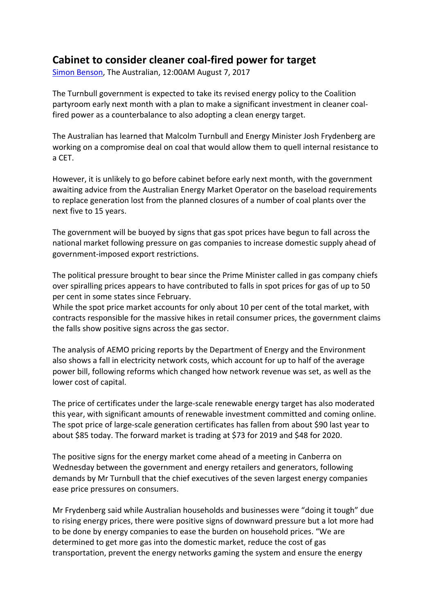## **Cabinet to consider cleaner coal-fired power for target**

Simon Benson, The Australian, 12:00AM August 7, 2017

The Turnbull government is expected to take its revised energy policy to the Coalition partyroom early next month with a plan to make a significant investment in cleaner coalfired power as a counterbalance to also adopting a clean energy target.

The Australian has learned that Malcolm Turnbull and Energy Minister Josh Frydenberg are working on a compromise deal on coal that would allow them to quell internal resistance to a CET.

However, it is unlikely to go before cabinet before early next month, with the government awaiting advice from the Australian Energy Market Operator on the baseload requirements to replace generation lost from the planned closures of a number of coal plants over the next five to 15 years.

The government will be buoyed by signs that gas spot prices have begun to fall across the national market following pressure on gas companies to increase domestic supply ahead of government-imposed export restrictions.

The political pressure brought to bear since the Prime Minister called in gas company chiefs over spiralling prices appears to have contributed to falls in spot prices for gas of up to 50 per cent in some states since February.

While the spot price market accounts for only about 10 per cent of the total market, with contracts responsible for the massive hikes in retail consumer prices, the government claims the falls show positive signs across the gas sector.

The analysis of AEMO pricing reports by the Department of Energy and the Environment also shows a fall in electricity network costs, which account for up to half of the average power bill, following reforms which changed how network revenue was set, as well as the lower cost of capital.

The price of certificates under the large-scale renewable energy target has also moderated this year, with significant amounts of renewable investment committed and coming online. The spot price of large-scale generation certificates has fallen from about \$90 last year to about \$85 today. The forward market is trading at \$73 for 2019 and \$48 for 2020.

The positive signs for the energy market come ahead of a meeting in Canberra on Wednesday between the government and energy retailers and generators, following demands by Mr Turnbull that the chief executives of the seven largest energy companies ease price pressures on consumers.

Mr Frydenberg said while Australian households and businesses were "doing it tough" due to rising energy prices, there were positive signs of downward pressure but a lot more had to be done by energy companies to ease the burden on household prices. "We are determined to get more gas into the domestic market, reduce the cost of gas transportation, prevent the energy networks gaming the system and ensure the energy